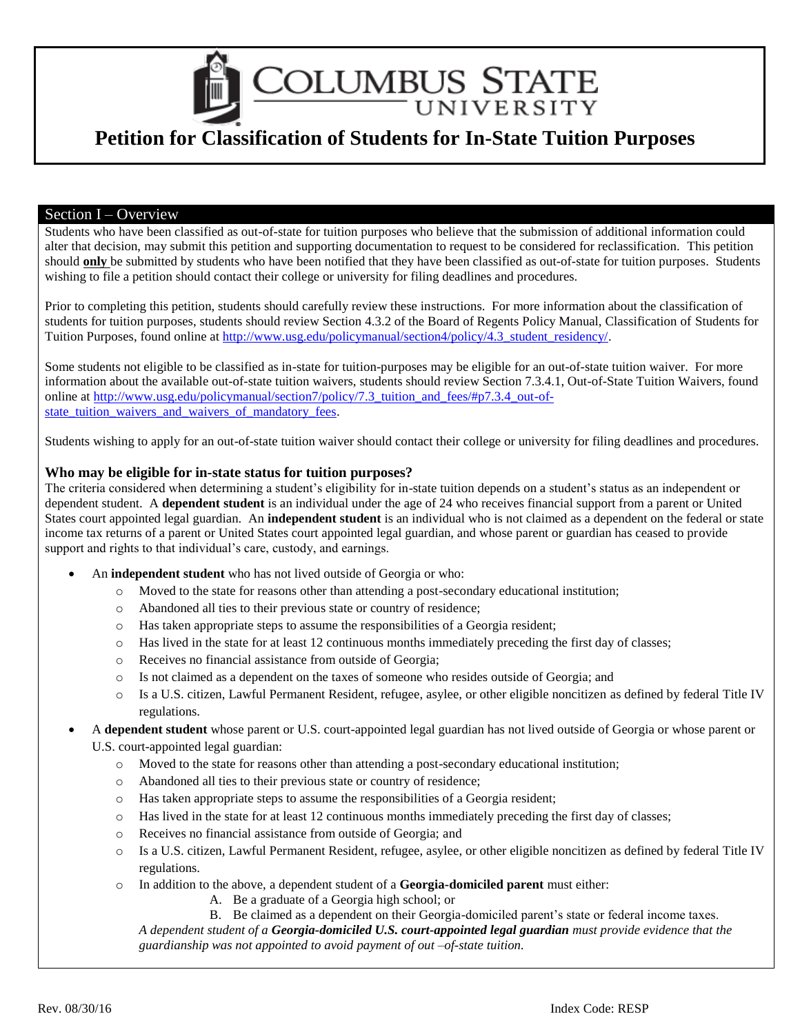COLUMBUS STATE

# **Petition for Classification of Students for In-State Tuition Purposes**

# Section I – Overview

Students who have been classified as out-of-state for tuition purposes who believe that the submission of additional information could alter that decision, may submit this petition and supporting documentation to request to be considered for reclassification. This petition should **only** be submitted by students who have been notified that they have been classified as out-of-state for tuition purposes. Students wishing to file a petition should contact their college or university for filing deadlines and procedures.

Prior to completing this petition, students should carefully review these instructions. For more information about the classification of students for tuition purposes, students should review Section 4.3.2 of the Board of Regents Policy Manual, Classification of Students for Tuition Purposes, found online at [http://www.usg.edu/policymanual/section4/policy/4.3\\_student\\_residency/.](http://www.usg.edu/policymanual/section4/policy/4.3_student_residency/)

Some students not eligible to be classified as in-state for tuition-purposes may be eligible for an out-of-state tuition waiver. For more information about the available out-of-state tuition waivers, students should review Section 7.3.4.1, Out-of-State Tuition Waivers, found online at [http://www.usg.edu/policymanual/section7/policy/7.3\\_tuition\\_and\\_fees/#p7.3.4\\_out-of](http://www.usg.edu/policymanual/section7/policy/7.3_tuition_and_fees/#p7.3.4_out-of-state_tuition_waivers_and_waivers_of_mandatory_fees)[state\\_tuition\\_waivers\\_and\\_waivers\\_of\\_mandatory\\_fees.](http://www.usg.edu/policymanual/section7/policy/7.3_tuition_and_fees/#p7.3.4_out-of-state_tuition_waivers_and_waivers_of_mandatory_fees)

Students wishing to apply for an out-of-state tuition waiver should contact their college or university for filing deadlines and procedures.

## **Who may be eligible for in-state status for tuition purposes?**

The criteria considered when determining a student's eligibility for in-state tuition depends on a student's status as an independent or dependent student. A **dependent student** is an individual under the age of 24 who receives financial support from a parent or United States court appointed legal guardian. An **independent student** is an individual who is not claimed as a dependent on the federal or state income tax returns of a parent or United States court appointed legal guardian, and whose parent or guardian has ceased to provide support and rights to that individual's care, custody, and earnings.

- An **independent student** who has not lived outside of Georgia or who:
	- o Moved to the state for reasons other than attending a post-secondary educational institution;
	- o Abandoned all ties to their previous state or country of residence;
	- o Has taken appropriate steps to assume the responsibilities of a Georgia resident;
	- o Has lived in the state for at least 12 continuous months immediately preceding the first day of classes;
	- o Receives no financial assistance from outside of Georgia;
	- o Is not claimed as a dependent on the taxes of someone who resides outside of Georgia; and
	- o Is a U.S. citizen, Lawful Permanent Resident, refugee, asylee, or other eligible noncitizen as defined by federal Title IV regulations.

 A **dependent student** whose parent or U.S. court-appointed legal guardian has not lived outside of Georgia or whose parent or U.S. court-appointed legal guardian:

- o Moved to the state for reasons other than attending a post-secondary educational institution;
- o Abandoned all ties to their previous state or country of residence;
- o Has taken appropriate steps to assume the responsibilities of a Georgia resident;
- o Has lived in the state for at least 12 continuous months immediately preceding the first day of classes;
- o Receives no financial assistance from outside of Georgia; and
- o Is a U.S. citizen, Lawful Permanent Resident, refugee, asylee, or other eligible noncitizen as defined by federal Title IV regulations.
- o In addition to the above, a dependent student of a **Georgia-domiciled parent** must either:
	- A. Be a graduate of a Georgia high school; or
	- B. Be claimed as a dependent on their Georgia-domiciled parent's state or federal income taxes.

*A dependent student of a Georgia-domiciled U.S. court-appointed legal guardian must provide evidence that the guardianship was not appointed to avoid payment of out –of-state tuition.*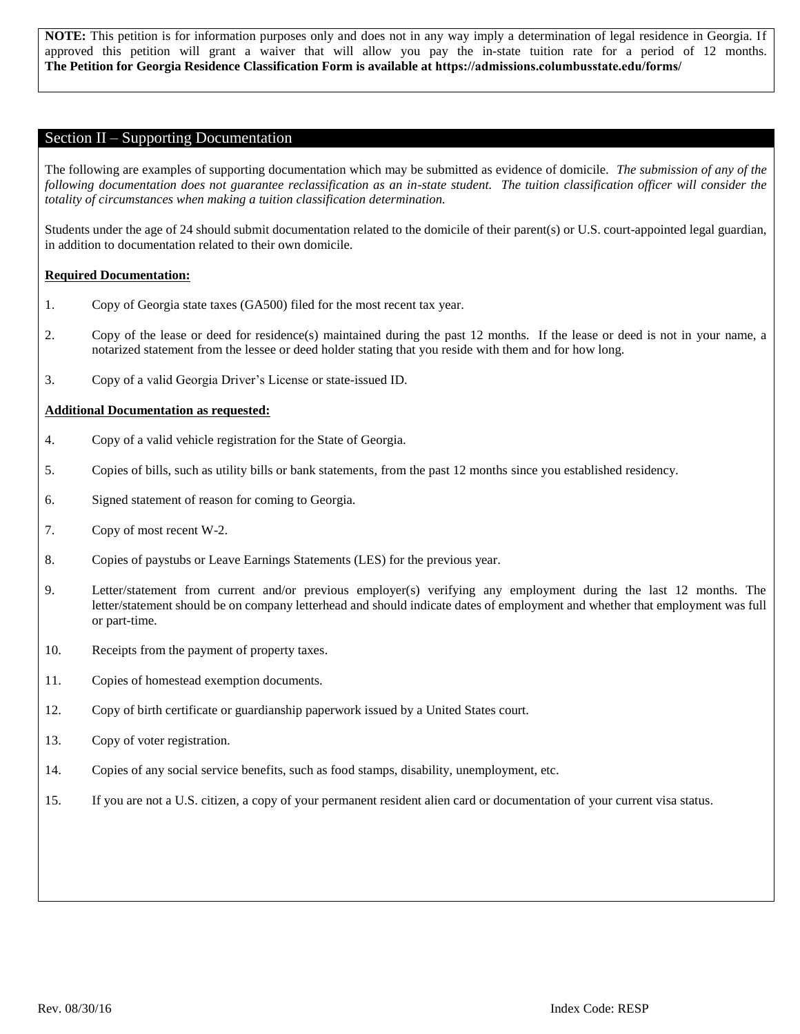**NOTE:** This petition is for information purposes only and does not in any way imply a determination of legal residence in Georgia. If approved this petition will grant a waiver that will allow you pay the in-state tuition rate for a period of 12 months. **The Petition for Georgia Residence Classification Form is available at https://admissions.columbusstate.edu/forms/**

### Section II – Supporting Documentation

The following are examples of supporting documentation which may be submitted as evidence of domicile. *The submission of any of the following documentation does not guarantee reclassification as an in-state student. The tuition classification officer will consider the totality of circumstances when making a tuition classification determination.* 

Students under the age of 24 should submit documentation related to the domicile of their parent(s) or U.S. court-appointed legal guardian, in addition to documentation related to their own domicile.

#### **Required Documentation:**

- 1. Copy of Georgia state taxes (GA500) filed for the most recent tax year.
- 2. Copy of the lease or deed for residence(s) maintained during the past 12 months. If the lease or deed is not in your name, a notarized statement from the lessee or deed holder stating that you reside with them and for how long.
- 3. Copy of a valid Georgia Driver's License or state-issued ID.

#### **Additional Documentation as requested:**

- 4. Copy of a valid vehicle registration for the State of Georgia.
- 5. Copies of bills, such as utility bills or bank statements, from the past 12 months since you established residency.
- 6. Signed statement of reason for coming to Georgia.
- 7. Copy of most recent W-2.
- 8. Copies of paystubs or Leave Earnings Statements (LES) for the previous year.
- 9. Letter/statement from current and/or previous employer(s) verifying any employment during the last 12 months. The letter/statement should be on company letterhead and should indicate dates of employment and whether that employment was full or part-time.
- 10. Receipts from the payment of property taxes.
- 11. Copies of homestead exemption documents.
- 12. Copy of birth certificate or guardianship paperwork issued by a United States court.
- 13. Copy of voter registration.
- 14. Copies of any social service benefits, such as food stamps, disability, unemployment, etc.
- 15. If you are not a U.S. citizen, a copy of your permanent resident alien card or documentation of your current visa status.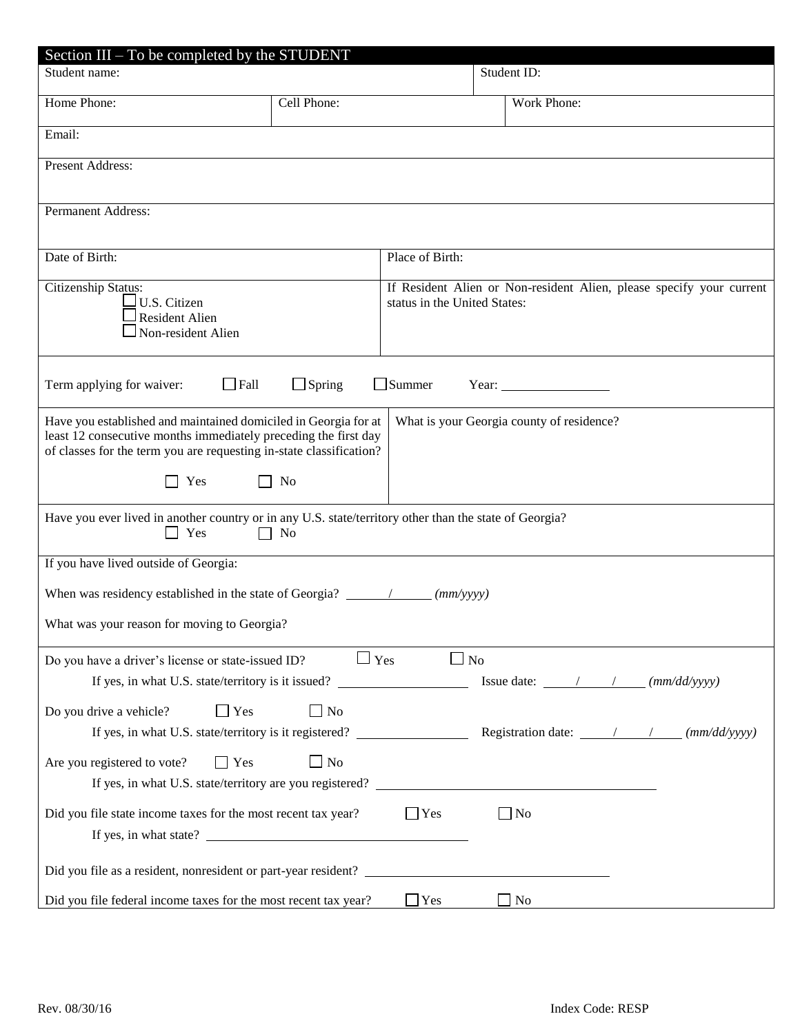| Section III – To be completed by the STUDENT                                                                                                                                                              |                |                                                                                                      |                                                            |  |  |
|-----------------------------------------------------------------------------------------------------------------------------------------------------------------------------------------------------------|----------------|------------------------------------------------------------------------------------------------------|------------------------------------------------------------|--|--|
| Student name:                                                                                                                                                                                             |                |                                                                                                      | Student ID:                                                |  |  |
| Home Phone:                                                                                                                                                                                               | Cell Phone:    |                                                                                                      | Work Phone:                                                |  |  |
| Email:                                                                                                                                                                                                    |                |                                                                                                      |                                                            |  |  |
| <b>Present Address:</b>                                                                                                                                                                                   |                |                                                                                                      |                                                            |  |  |
| Permanent Address:                                                                                                                                                                                        |                |                                                                                                      |                                                            |  |  |
| Date of Birth:                                                                                                                                                                                            |                | Place of Birth:                                                                                      |                                                            |  |  |
| Citizenship Status:<br>⊥U.S. Citizen<br>$\Box$ Resident Alien<br>$\Box$ Non-resident Alien                                                                                                                |                | If Resident Alien or Non-resident Alien, please specify your current<br>status in the United States: |                                                            |  |  |
| $\Box$ Fall<br>Term applying for waiver:                                                                                                                                                                  | $\Box$ Spring  | $\Box$ Summer                                                                                        |                                                            |  |  |
| Have you established and maintained domiciled in Georgia for at<br>least 12 consecutive months immediately preceding the first day<br>of classes for the term you are requesting in-state classification? |                |                                                                                                      | What is your Georgia county of residence?                  |  |  |
| Yes                                                                                                                                                                                                       | N <sub>0</sub> |                                                                                                      |                                                            |  |  |
| Have you ever lived in another country or in any U.S. state/territory other than the state of Georgia?<br>Yes                                                                                             | $\Box$ No      |                                                                                                      |                                                            |  |  |
| If you have lived outside of Georgia:                                                                                                                                                                     |                |                                                                                                      |                                                            |  |  |
|                                                                                                                                                                                                           |                |                                                                                                      |                                                            |  |  |
| What was your reason for moving to Georgia?                                                                                                                                                               |                |                                                                                                      |                                                            |  |  |
| Do you have a driver's license or state-issued ID?                                                                                                                                                        | $\Box$ Yes     | $\Box$ No                                                                                            |                                                            |  |  |
| If yes, in what U.S. state/territory is it issued?                                                                                                                                                        |                |                                                                                                      | Issue date: $\frac{\ }{\ }$ / $\frac{\ }{\ }$ (mm/dd/yyyy) |  |  |
| $\Box$ Yes<br>Do you drive a vehicle?<br>If yes, in what U.S. state/territory is it registered? Registration date: $\frac{1}{\sqrt{2}}$ (mm/dd/yyyy)                                                      | $\Box$ No      |                                                                                                      |                                                            |  |  |
| Are you registered to vote?<br>$\Box$ Yes<br>If yes, in what U.S. state/territory are you registered?                                                                                                     | $\Box$ No      |                                                                                                      |                                                            |  |  |
| Did you file state income taxes for the most recent tax year?                                                                                                                                             |                | $\Gamma$ Yes                                                                                         | $\Box$ No                                                  |  |  |
| Did you file as a resident, nonresident or part-year resident?                                                                                                                                            |                |                                                                                                      |                                                            |  |  |
| Did you file federal income taxes for the most recent tax year?                                                                                                                                           |                | $\Box$ Yes                                                                                           | $\Box$ No                                                  |  |  |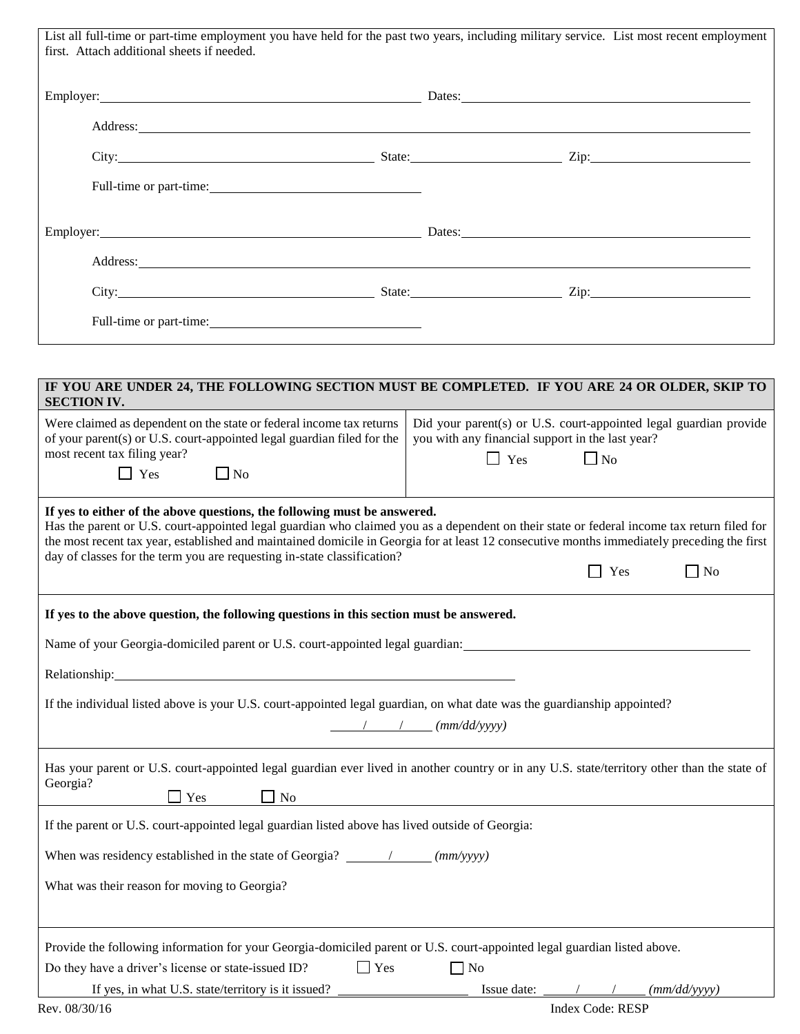| List all full-time or part-time employment you have held for the past two years, including military service. List most recent employment<br>first. Attach additional sheets if needed.                                              |                                                                                                                                                                                                                                                                                                                       |  |  |  |  |
|-------------------------------------------------------------------------------------------------------------------------------------------------------------------------------------------------------------------------------------|-----------------------------------------------------------------------------------------------------------------------------------------------------------------------------------------------------------------------------------------------------------------------------------------------------------------------|--|--|--|--|
| Employer: Dates: Dates: Dates: Dates: Dates: Dates: Dates: Dates: Dates: Dates: Dates: Dates: Dates: Dates: Dates: Dates: Dates: Dates: Dates: Dates: Dates: Dates: Dates: Dates: Dates: Dates: Dates: Dates: Dates: Dates: Da      |                                                                                                                                                                                                                                                                                                                       |  |  |  |  |
|                                                                                                                                                                                                                                     |                                                                                                                                                                                                                                                                                                                       |  |  |  |  |
| Address: National Address: National Address: National Address: National Address: National Address: National Address: National Address: National Address: National Address: National Address: National Address: National Addres      |                                                                                                                                                                                                                                                                                                                       |  |  |  |  |
|                                                                                                                                                                                                                                     |                                                                                                                                                                                                                                                                                                                       |  |  |  |  |
| Full-time or part-time:                                                                                                                                                                                                             |                                                                                                                                                                                                                                                                                                                       |  |  |  |  |
| Employer: Dates: Dates: Dates: Dates: Dates: Dates: Dates: Dates: Dates: Dates: Dates: Dates: Dates: Dates: Dates: Dates: Dates: Dates: Dates: Dates: Dates: Dates: Dates: Dates: Dates: Dates: Dates: Dates: Dates: Dates: Da      |                                                                                                                                                                                                                                                                                                                       |  |  |  |  |
| Address: <u>North Communication</u> and the communication of the communication of the communication of the communication of the communication of the communication of the communication of the communication of the communication o |                                                                                                                                                                                                                                                                                                                       |  |  |  |  |
|                                                                                                                                                                                                                                     | City: <u>City:</u> State: <u>City:</u> City: 2ip:                                                                                                                                                                                                                                                                     |  |  |  |  |
| Full-time or part-time:                                                                                                                                                                                                             |                                                                                                                                                                                                                                                                                                                       |  |  |  |  |
|                                                                                                                                                                                                                                     |                                                                                                                                                                                                                                                                                                                       |  |  |  |  |
| <b>SECTION IV.</b>                                                                                                                                                                                                                  | IF YOU ARE UNDER 24, THE FOLLOWING SECTION MUST BE COMPLETED. IF YOU ARE 24 OR OLDER, SKIP TO                                                                                                                                                                                                                         |  |  |  |  |
| Were claimed as dependent on the state or federal income tax returns                                                                                                                                                                | Did your parent(s) or U.S. court-appointed legal guardian provide                                                                                                                                                                                                                                                     |  |  |  |  |
| of your parent(s) or U.S. court-appointed legal guardian filed for the<br>most recent tax filing year?                                                                                                                              | you with any financial support in the last year?<br>$\Box$ No<br>$\Box$ Yes                                                                                                                                                                                                                                           |  |  |  |  |
| $\Box$ No<br>$\Box$ Yes                                                                                                                                                                                                             |                                                                                                                                                                                                                                                                                                                       |  |  |  |  |
| If yes to either of the above questions, the following must be answered.<br>day of classes for the term you are requesting in-state classification?                                                                                 | Has the parent or U.S. court-appointed legal guardian who claimed you as a dependent on their state or federal income tax return filed for<br>the most recent tax year, established and maintained domicile in Georgia for at least 12 consecutive months immediately preceding the first<br>Yes<br>$\blacksquare$ No |  |  |  |  |
| If yes to the above question, the following questions in this section must be answered.                                                                                                                                             |                                                                                                                                                                                                                                                                                                                       |  |  |  |  |
| Name of your Georgia-domiciled parent or U.S. court-appointed legal guardian:                                                                                                                                                       |                                                                                                                                                                                                                                                                                                                       |  |  |  |  |
| Relationship: 2000 Contract and Contract and Contract and Contract and Contract and Contract and Contract and Contract and Contract and Contract and Contract and Contract and Contract and Contract and Contract and Contract      |                                                                                                                                                                                                                                                                                                                       |  |  |  |  |
|                                                                                                                                                                                                                                     |                                                                                                                                                                                                                                                                                                                       |  |  |  |  |
| If the individual listed above is your U.S. court-appointed legal guardian, on what date was the guardianship appointed?<br>$\frac{\sqrt{1 - (mm/dd/yy)}y}{\sqrt{1 - (mm/dd/yy)}y}$                                                 |                                                                                                                                                                                                                                                                                                                       |  |  |  |  |
| Georgia?<br>$\Box$ Yes<br>$\Box$ No                                                                                                                                                                                                 | Has your parent or U.S. court-appointed legal guardian ever lived in another country or in any U.S. state/territory other than the state of                                                                                                                                                                           |  |  |  |  |
| If the parent or U.S. court-appointed legal guardian listed above has lived outside of Georgia:                                                                                                                                     |                                                                                                                                                                                                                                                                                                                       |  |  |  |  |
|                                                                                                                                                                                                                                     |                                                                                                                                                                                                                                                                                                                       |  |  |  |  |
| What was their reason for moving to Georgia?                                                                                                                                                                                        |                                                                                                                                                                                                                                                                                                                       |  |  |  |  |
|                                                                                                                                                                                                                                     |                                                                                                                                                                                                                                                                                                                       |  |  |  |  |
| Provide the following information for your Georgia-domiciled parent or U.S. court-appointed legal guardian listed above.                                                                                                            |                                                                                                                                                                                                                                                                                                                       |  |  |  |  |
| $\Box$ Yes<br>Do they have a driver's license or state-issued ID?                                                                                                                                                                   | $\Box$ No                                                                                                                                                                                                                                                                                                             |  |  |  |  |
| If yes, in what U.S. state/territory is it issued?                                                                                                                                                                                  | (mm/dd/yyyy)                                                                                                                                                                                                                                                                                                          |  |  |  |  |

Rev. 08/30/16 Index Code: RESP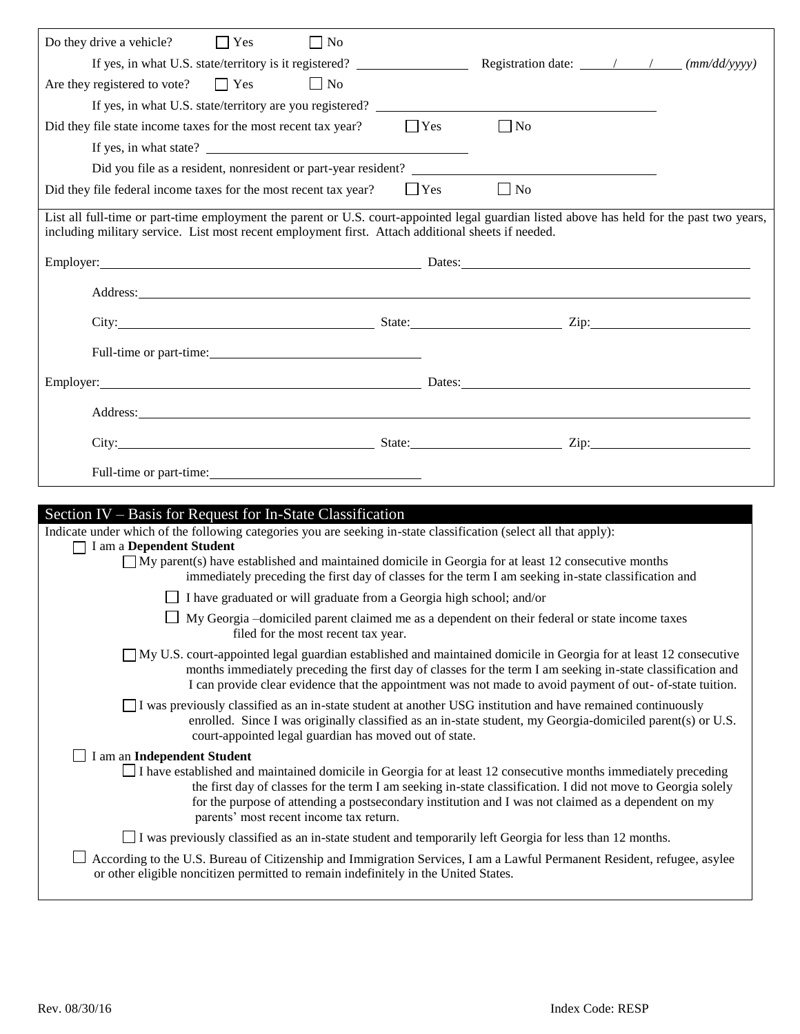| Do they drive a vehicle? $\Box$ Yes<br>$\Box$ No                                                                                                                                                                                                                                                                                                                                                                              |           |
|-------------------------------------------------------------------------------------------------------------------------------------------------------------------------------------------------------------------------------------------------------------------------------------------------------------------------------------------------------------------------------------------------------------------------------|-----------|
| If yes, in what U.S. state/territory is it registered? Registration date: $\frac{1}{2}$ Megistration date: $\frac{1}{2}$ (mm/dd/yyyy)                                                                                                                                                                                                                                                                                         |           |
| Are they registered to vote? $\Box$ Yes<br>$\Box$ No                                                                                                                                                                                                                                                                                                                                                                          |           |
|                                                                                                                                                                                                                                                                                                                                                                                                                               |           |
| Did they file state income taxes for the most recent tax year? $\Box$ Yes                                                                                                                                                                                                                                                                                                                                                     | $\Box$ No |
| If yes, in what state? $\qquad \qquad$                                                                                                                                                                                                                                                                                                                                                                                        |           |
| Did you file as a resident, nonresident or part-year resident?                                                                                                                                                                                                                                                                                                                                                                |           |
| Did they file federal income taxes for the most recent tax year? $\Box$ Yes                                                                                                                                                                                                                                                                                                                                                   | $\Box$ No |
| List all full-time or part-time employment the parent or U.S. court-appointed legal guardian listed above has held for the past two years,<br>including military service. List most recent employment first. Attach additional sheets if needed.                                                                                                                                                                              |           |
| Employer: Dates: Dates: Dates: Dates: Dates: Dates: Dates: Dates: Dates: Dates: Dates: Dates: Dates: Dates: Dates: Dates: Dates: Dates: Dates: Dates: Dates: Dates: Dates: Dates: Dates: Dates: Dates: Dates: Dates: Dates: Da                                                                                                                                                                                                |           |
| Address: <u>The Community of the Community of the Community of the Community of the Community of the Community of the Community of the Community of the Community of the Community of the Community of the Community of the Comm</u>                                                                                                                                                                                          |           |
| City: <u>City:</u> State: City: Zip: 2.1.                                                                                                                                                                                                                                                                                                                                                                                     |           |
| Full-time or part-time:                                                                                                                                                                                                                                                                                                                                                                                                       |           |
|                                                                                                                                                                                                                                                                                                                                                                                                                               |           |
| Address: <u>Address:</u> Address: Address: Address: Address: Address: Address: Address: Address: Address: Address: Address: Address: Address: Address: Address: Address: Address: Address: Address: Address: Address: Address: Addr                                                                                                                                                                                           |           |
|                                                                                                                                                                                                                                                                                                                                                                                                                               |           |
| Full-time or part-time:                                                                                                                                                                                                                                                                                                                                                                                                       |           |
|                                                                                                                                                                                                                                                                                                                                                                                                                               |           |
|                                                                                                                                                                                                                                                                                                                                                                                                                               |           |
| Section IV – Basis for Request for In-State Classification                                                                                                                                                                                                                                                                                                                                                                    |           |
| Indicate under which of the following categories you are seeking in-state classification (select all that apply):                                                                                                                                                                                                                                                                                                             |           |
| □ I am a Dependent Student                                                                                                                                                                                                                                                                                                                                                                                                    |           |
| $\Box$ My parent(s) have established and maintained domicile in Georgia for at least 12 consecutive months<br>immediately preceding the first day of classes for the term I am seeking in-state classification and                                                                                                                                                                                                            |           |
| I have graduated or will graduate from a Georgia high school; and/or                                                                                                                                                                                                                                                                                                                                                          |           |
| □ My Georgia -domiciled parent claimed me as a dependent on their federal or state income taxes<br>filed for the most recent tax year.                                                                                                                                                                                                                                                                                        |           |
| My U.S. court-appointed legal guardian established and maintained domicile in Georgia for at least 12 consecutive<br>months immediately preceding the first day of classes for the term I am seeking in-state classification and<br>I can provide clear evidence that the appointment was not made to avoid payment of out- of-state tuition.                                                                                 |           |
| $\Box$ I was previously classified as an in-state student at another USG institution and have remained continuously<br>enrolled. Since I was originally classified as an in-state student, my Georgia-domiciled parent(s) or U.S.<br>court-appointed legal guardian has moved out of state.                                                                                                                                   |           |
| $\Box$ I am an Independent Student<br>$\Box$ I have established and maintained domicile in Georgia for at least 12 consecutive months immediately preceding<br>the first day of classes for the term I am seeking in-state classification. I did not move to Georgia solely<br>for the purpose of attending a postsecondary institution and I was not claimed as a dependent on my<br>parents' most recent income tax return. |           |
| $\Box$ I was previously classified as an in-state student and temporarily left Georgia for less than 12 months.                                                                                                                                                                                                                                                                                                               |           |